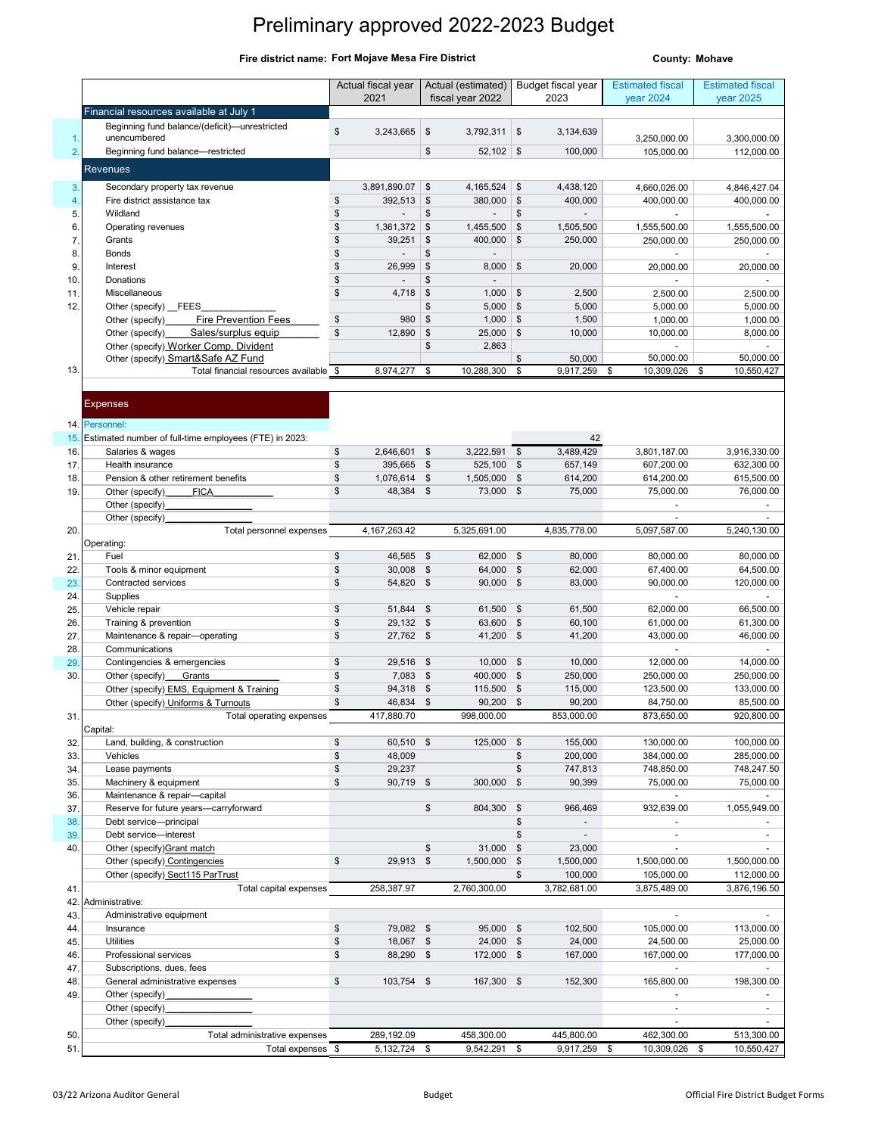## Preliminary approved 2022-2023 Budget

## **Fire district name: County: Mohave Fort Mojave Mesa Fire District**

|             |                                                                                   | Actual fiscal year                | Actual (estimated)                           | Budget fiscal year                                 | <b>Estimated fiscal</b>  | <b>Estimated fiscal</b>  |
|-------------|-----------------------------------------------------------------------------------|-----------------------------------|----------------------------------------------|----------------------------------------------------|--------------------------|--------------------------|
|             |                                                                                   | 2021                              | fiscal year 2022                             | 2023                                               | year 2024                | year 2025                |
|             | Financial resources available at July 1                                           |                                   |                                              |                                                    |                          |                          |
| 1.          | Beginning fund balance/(deficit)-unrestricted<br>unencumbered                     | $\mathbb{S}$<br>3,243,665         | \$<br>3,792,311                              | \$<br>3,134,639                                    | 3,250,000.00             | 3,300,000.00             |
| 2.          | Beginning fund balance-restricted                                                 |                                   | \$<br>52,102                                 | \$<br>100,000                                      | 105,000.00               | 112,000.00               |
|             | Revenues                                                                          |                                   |                                              |                                                    |                          |                          |
|             |                                                                                   |                                   |                                              |                                                    |                          |                          |
| 3.          | Secondary property tax revenue<br>Fire district assistance tax                    | 3,891,890.07<br>\$<br>392,513     | \$<br>4,165,524<br>$$\mathbb{S}$$<br>380,000 | \$<br>4,438,120<br>$\frac{1}{2}$<br>400,000        | 4,660,026.00             | 4,846,427.04             |
| 4.<br>5.    | Wildland                                                                          | \$                                | \$                                           | \$<br>÷,                                           | 400,000.00               | 400,000.00               |
| 6.          | Operating revenues                                                                | \$<br>1,361,372                   | \$<br>1,455,500                              | $\frac{3}{2}$<br>1,505,500                         | 1,555,500.00             | 1,555,500.00             |
| 7.          | Grants                                                                            | \$<br>39,251                      | \$<br>400,000                                | $\mathfrak{s}$<br>250,000                          | 250,000.00               | 250,000.00               |
| 8.          | Bonds                                                                             | \$<br>$\overline{\phantom{a}}$    | \$<br>$\blacksquare$                         |                                                    |                          |                          |
| 9.          | Interest                                                                          | \$<br>26,999                      | \$<br>8,000                                  | $\mathfrak{F}$<br>20,000                           | 20,000.00                | 20,000.00                |
| 10.         | Donations                                                                         | \$<br>$\blacksquare$              | \$                                           |                                                    |                          |                          |
| 11.         | Miscellaneous                                                                     | \$<br>4,718                       | \$<br>1,000                                  | \$<br>2,500                                        | 2,500.00                 | 2,500.00                 |
| 12.         | Other (specify) FEES                                                              | \$<br>980                         | \$<br>5,000<br>\$<br>1,000                   | $\mathfrak{s}$<br>5,000<br>$\mathfrak{s}$<br>1,500 | 5,000.00                 | 5,000.00                 |
|             | Fire Prevention Fees<br>Other (specify)<br>Sales/surplus equip<br>Other (specify) | \$<br>12,890                      | \$<br>25,000                                 | $\mathfrak{s}$<br>10,000                           | 1,000.00<br>10,000.00    | 1,000.00<br>8,000.00     |
|             | Other (specify) Worker Comp. Divident                                             |                                   | \$<br>2,863                                  |                                                    |                          |                          |
|             | Other (specify) Smart&Safe AZ Fund                                                |                                   |                                              | \$<br>50,000                                       | 50,000.00                | 50,000.00                |
| 13.         | Total financial resources available \$                                            | 8,974,277                         | \$<br>10,288,300                             | \$<br>9,917,259                                    | \$<br>10,309,026         | \$<br>10,550,427         |
|             |                                                                                   |                                   |                                              |                                                    |                          |                          |
|             | <b>Expenses</b>                                                                   |                                   |                                              |                                                    |                          |                          |
|             |                                                                                   |                                   |                                              |                                                    |                          |                          |
| 14.1<br>15. | Personnel:<br>Estimated number of full-time employees (FTE) in 2023:              |                                   |                                              | 42                                                 |                          |                          |
| 16.         | Salaries & wages                                                                  | \$<br>2,646,601 \$                | 3,222,591                                    | \$<br>3,489,429                                    | 3,801,187.00             | 3,916,330.00             |
| 17.         | Health insurance                                                                  | \$<br>395,665 \$                  | 525,100                                      | \$<br>657,149                                      | 607,200.00               | 632,300.00               |
| 18          | Pension & other retirement benefits                                               | \$<br>1,076,614 \$                | 1,505,000                                    | $\frac{1}{2}$<br>614,200                           | 614,200.00               | 615,500.00               |
| 19          | <b>FICA</b><br>Other (specify)                                                    | \$<br>48,384 \$                   | 73,000                                       | \$<br>75,000                                       | 75,000.00                | 76,000.00                |
|             | Other (specify)                                                                   |                                   |                                              |                                                    |                          |                          |
|             | Other (specify)                                                                   |                                   |                                              |                                                    |                          |                          |
| 20.         | Total personnel expenses<br>Operating:                                            | 4, 167, 263. 42                   | 5,325,691.00                                 | 4,835,778.00                                       | 5,097,587.00             | 5,240,130.00             |
| 21          | Fuel                                                                              | \$<br>46,565                      | 62,000<br>\$                                 | \$<br>80,000                                       | 80,000.00                | 80,000.00                |
|             |                                                                                   |                                   |                                              |                                                    |                          |                          |
|             |                                                                                   | \$<br>30,008 \$                   | 64,000                                       | $\boldsymbol{\mathsf{s}}$<br>62,000                | 67,400.00                | 64,500.00                |
| 22<br>23    | Tools & minor equipment<br>Contracted services                                    | \$<br>54,820 \$                   | 90,000                                       | $\boldsymbol{\mathsf{s}}$<br>83,000                | 90,000.00                | 120,000.00               |
| 24          | Supplies                                                                          |                                   |                                              |                                                    |                          |                          |
| 25          | Vehicle repair                                                                    | \$<br>51,844 \$                   | 61,500                                       | $\frac{1}{2}$<br>61,500                            | 62,000.00                | 66,500.00                |
| 26          | Training & prevention                                                             | \$<br>29,132 \$                   | 63,600                                       | $\frac{1}{2}$<br>60,100                            | 61,000.00                | 61,300.00                |
| 27          | Maintenance & repair-operating                                                    | $$\mathbb{S}$$<br>27,762 \$       | 41,200                                       | $\frac{1}{2}$<br>41,200                            | 43,000.00                | 46,000.00                |
| 28          | Communications                                                                    |                                   |                                              |                                                    |                          |                          |
| 29          | Contingencies & emergencies                                                       | \$<br>29,516 \$                   | 10,000                                       | 10,000<br>\$<br>$\mathfrak{s}$                     | 12,000.00                | 14,000.00                |
| 30          | Other (specify)<br>Grants<br>Other (specify) EMS, Equipment & Training            | \$<br>7,083 \$<br>\$<br>94,318 \$ | 400,000<br>115,500                           | 250,000<br>$\frac{1}{2}$<br>115,000                | 250,000.00<br>123,500.00 | 250,000.00<br>133,000.00 |
|             | Other (specify) Uniforms & Turnouts                                               | $$\mathbb{S}$$<br>46,834 \$       | 90,200                                       | 90,200<br>\$                                       | 84,750.00                | 85,500.00                |
| 31.         | Total operating expenses                                                          | 417,880.70                        | 998,000.00                                   | 853,000.00                                         | 873,650.00               | 920,800.00               |
|             | Capital:                                                                          |                                   |                                              |                                                    |                          |                          |
| 32.         | Land, building, & construction                                                    | \$<br>60,510 \$                   | 125,000                                      | 155,000<br>\$                                      | 130,000.00               | 100,000.00               |
| 33.         | Vehicles                                                                          | \$<br>48,009                      |                                              | 200,000<br>\$                                      | 384,000.00               | 285,000.00               |
| 34.         | Lease payments                                                                    | \$<br>29,237                      |                                              | \$<br>747,813                                      | 748,850.00               | 748,247.50               |
| 35.<br>36.  | Machinery & equipment<br>Maintenance & repair-capital                             | \$<br>90,719 \$                   | 300,000                                      | $\frac{1}{2}$<br>90,399                            | 75,000.00<br>$\sim$      | 75,000.00                |
| 37          | Reserve for future years-carryforward                                             |                                   | \$<br>804,300                                | \$<br>966,469                                      | 932,639.00               | 1,055,949.00             |
| 38          | Debt service-principal                                                            |                                   |                                              | \$                                                 |                          |                          |
| 39          | Debt service-interest                                                             |                                   |                                              | \$                                                 |                          | $\mathbf{r}$             |
| 40          | Other (specify) Grant match                                                       |                                   | \$<br>31,000                                 | \$<br>23,000                                       |                          |                          |
|             | Other (specify) Contingencies                                                     | \$<br>29,913 \$                   | 1,500,000                                    | 1,500,000<br>\$                                    | 1,500,000.00             | 1,500,000.00             |
|             | Other (specify) Sect115 ParTrust                                                  |                                   |                                              | \$<br>100,000                                      | 105,000.00               | 112,000.00               |
| 41          | Total capital expenses                                                            | 258,387.97                        | 2,760,300.00                                 | 3,782,681.00                                       | 3,875,489.00             | 3,876,196.50             |
| 42.<br>43.  | Administrative:<br>Administrative equipment                                       |                                   |                                              |                                                    |                          | $\overline{\phantom{a}}$ |
| 44          | Insurance                                                                         | \$<br>79,082 \$                   | 95,000                                       | 102,500<br>\$                                      | 105,000.00               | 113,000.00               |
| 45.         | <b>Utilities</b>                                                                  | \$<br>18,067 \$                   | 24,000 \$                                    | 24,000                                             | 24,500.00                | 25,000.00                |
| 46.         | Professional services                                                             | \$<br>88,290 \$                   | 172,000                                      | \$<br>167,000                                      | 167,000.00               | 177,000.00               |
| 47          | Subscriptions, dues, fees                                                         |                                   |                                              |                                                    |                          |                          |
| 48          | General administrative expenses                                                   | \$<br>103,754 \$                  | 167,300                                      | \$<br>152,300                                      | 165,800.00               | 198,300.00               |
| 49          | Other (specify)                                                                   |                                   |                                              |                                                    |                          |                          |
|             | Other (specify)                                                                   |                                   |                                              |                                                    |                          |                          |
| 50          | Other (specify)<br>Total administrative expenses                                  | 289,192.09                        | 458,300.00                                   | 445,800.00                                         | 462,300.00               | 513,300.00               |